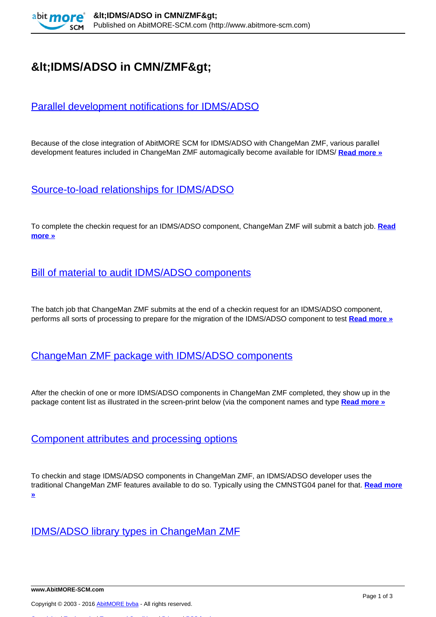

# $8$ lt;IDMS/ADSO in CMN/ZMF>

# [Parallel development notifications for IDMS/ADSO](http://www.abitmore-scm.com/products/idms-adso/details/previews/parallel_development)

Because of the close integration of AbitMORE SCM for IDMS/ADSO with ChangeMan ZMF, various parallel development features included in ChangeMan ZMF automagically become available for IDMS/ **[Read more »](http://www.abitmore-scm.com/products/idms-adso/details/previews/parallel_development)**

# [Source-to-load relationships for IDMS/ADSO](http://www.abitmore-scm.com/products/idms-adso/details/previews/source_to_load)

To complete the checkin request for an IDMS/ADSO component, ChangeMan ZMF will submit a batch job. **[Read](http://www.abitmore-scm.com/products/idms-adso/details/previews/source_to_load) [more »](http://www.abitmore-scm.com/products/idms-adso/details/previews/source_to_load)**

# **[Bill of material to audit IDMS/ADSO components](http://www.abitmore-scm.com/products/idms-adso/details/previews/bill_of_material)**

The batch job that ChangeMan ZMF submits at the end of a checkin request for an IDMS/ADSO component, performs all sorts of processing to prepare for the migration of the IDMS/ADSO component to test **[Read more »](http://www.abitmore-scm.com/products/idms-adso/details/previews/bill_of_material)**

#### [ChangeMan ZMF package with IDMS/ADSO components](http://www.abitmore-scm.com/products/idms-adso/details/previews/package_content)

After the checkin of one or more IDMS/ADSO components in ChangeMan ZMF completed, they show up in the package content list as illustrated in the screen-print below (via the component names and type **[Read more »](http://www.abitmore-scm.com/products/idms-adso/details/previews/package_content)**

#### [Component attributes and processing options](http://www.abitmore-scm.com/products/idms-adso/details/previews/component_options)

To checkin and stage IDMS/ADSO components in ChangeMan ZMF, an IDMS/ADSO developer uses the traditional ChangeMan ZMF features available to do so. Typically using the CMNSTG04 panel for that. **[Read more](http://www.abitmore-scm.com/products/idms-adso/details/previews/component_options) [»](http://www.abitmore-scm.com/products/idms-adso/details/previews/component_options)**

#### [IDMS/ADSO library types in ChangeMan ZMF](http://www.abitmore-scm.com/products/idms-adso/details/previews/libtypes)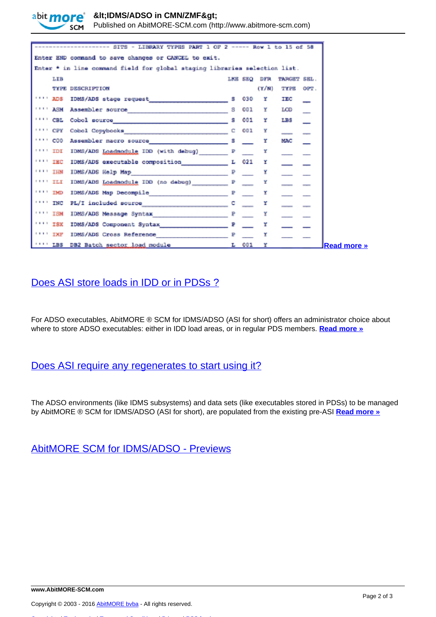

 $8$ lt;IDMS/ADSO in CMN/ZMF>

Published on AbitMORE-SCM.com (http://www.abitmore-scm.com)

| SITS - LIBRARY TYPES PART 1 OF 2 ----- Row 1 to 15 of 58                                                                           |              |            |       |             |     |
|------------------------------------------------------------------------------------------------------------------------------------|--------------|------------|-------|-------------|-----|
| Enter END command to save changes or CANCEL to exit.                                                                               |              |            |       |             |     |
| Enter * in line command field for global staging libraries selection list.                                                         |              |            |       |             |     |
| LIB                                                                                                                                |              | LKE SEQ    | DFR   | TARGET SEL. |     |
| <b>TYPE DESCRIPTION</b>                                                                                                            |              |            | (Y/N) | TYPE OPT.   |     |
| 11112008<br>IDMS/ADS stage request                                                                                                 |              | 030        | r     | IEC         |     |
| <b>TITT ASM</b><br>Assembler source                                                                                                | s            | 001        | Y     | LCD         |     |
| <b>IFFICEL</b><br>Cobol source and the contract of the contract of the contract of the contract of the contract of the contract of | s            | 001        | r     | LBS         |     |
| <b>TILL CBY</b>                                                                                                                    |              | OD1        | Y     | $-$         | $-$ |
| 1111 C00                                                                                                                           | s            | e.<br>Se m | х     | MAC         |     |
| <b>TILL TDI</b><br>IDMS/ADS Loadmodule IDD (with debug)                                                                            | $\mathbf{P}$ |            | ¥     |             |     |
| <b>TANK TEC</b><br>IDMS/ADS executable composition [1021]                                                                          |              |            | r     |             |     |
| <b>TABLE THM</b>                                                                                                                   |              |            | Y     |             |     |
| <b>TABLE TELE</b><br>IDMS/ADS Loadmodule IDD (no debug) P                                                                          |              |            | ¥     |             |     |
| <b>THE THE</b><br>IDMS/ADS Map Decompile P                                                                                         |              |            |       |             |     |
| <b>INC.</b>                                                                                                                        |              |            | Y     |             |     |
| $11111$ ISM<br>IDMS/ADS Message Syntax P                                                                                           |              |            | Y     |             |     |
| $11111$ ISK                                                                                                                        | ₽            |            | r     |             |     |
| <b>TALL INE</b><br>IDMS/ADS Cross Reference                                                                                        | ₽            |            |       |             |     |
| $11111$ LBS<br>DB2 Batch sector load module                                                                                        |              | $L = 001$  | x     |             |     |

# [Does ASI store loads in IDD or in PDSs ?](http://www.abitmore-scm.com/node/57)

For ADSO executables, AbitMORE ® SCM for IDMS/ADSO (ASI for short) offers an administrator choice about where to store ADSO executables: either in IDD load areas, or in regular PDS members. **[Read more »](http://www.abitmore-scm.com/node/57)**

### [Does ASI require any regenerates to start using it?](http://www.abitmore-scm.com/node/56)

The ADSO environments (like IDMS subsystems) and data sets (like executables stored in PDSs) to be managed by AbitMORE ® SCM for IDMS/ADSO (ASI for short), are populated from the existing pre-ASI **[Read more »](http://www.abitmore-scm.com/node/56)**

[AbitMORE SCM for IDMS/ADSO - Previews](http://www.abitmore-scm.com/products/idms-adso/details/previews)

Copyright © 2003 - 2016 [AbitMORE bvba](http://www.abitmore.be) - All rights reserved.